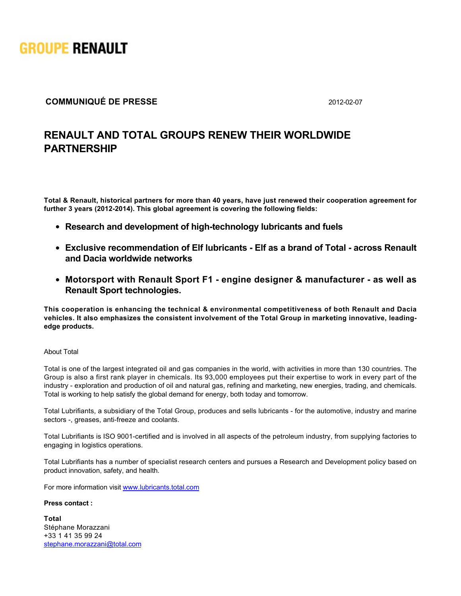

## **COMMUNIQUÉ DE PRESSE** 2012-02-07

# **RENAULT AND TOTAL GROUPS RENEW THEIR WORLDWIDE PARTNERSHIP**

**Total & Renault, historical partners for more than 40 years, have just renewed their cooperation agreement for** further 3 years (2012-2014). This global agreement is covering the following fields:

- Research and development of high-technology lubricants and fuels
- **Exclusive recommendation of Elf lubricants Elf as a brand of Total across Renault and Dacia worldwide networks**
- **Motorsport with Renault Sport F1 engine designer & manufacturer as well as Renault Sport technologies.**

**This cooperation is enhancing the technical & environmental competitiveness of both Renault and Dacia vehicles. It also emphasizes the consistent involvement of the Total Group in marketing innovative, leadingedge products.**

### About Total

Total is one of the largest integrated oil and gas companies in the world, with activities in more than 130 countries. The Group is also a first rank player in chemicals. Its 93,000 employees put their expertise to work in every part of the industry - exploration and production of oil and natural gas, refining and marketing, new energies, trading, and chemicals. Total is working to help satisfy the global demand for energy, both today and tomorrow.

Total Lubrifiants, a subsidiary of the Total Group, produces and sells lubricants for the automotive, industry and marine sectors -, greases, anti-freeze and coolants.

Total Lubrifiants is ISO 9001-certified and is involved in all aspects of the petroleum industry, from supplying factories to engaging in logistics operations.

Total Lubrifiants has a number of specialist research centers and pursues a Research and Development policy based on product innovation, safety, and health.

For more information visit [www.lubricants.total.com](http://www.lubricants.total.com/)

### **Press contact :**

 $\sf Total$ Stéphane Morazzani +33 1 41 35 99 24 [stephane.morazzani@total.com](mailto:stephane.morazzani@total.com)